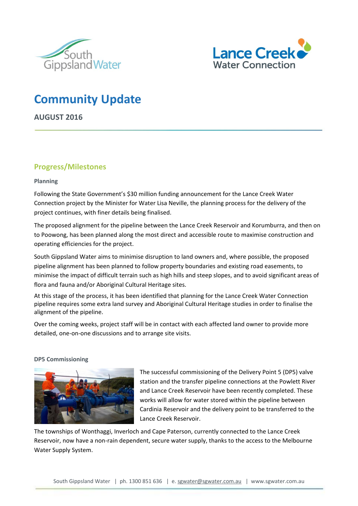



# **Community Update**

**AUGUST 2016**

### **Progress/Milestones**

### **Planning**

Following the State Government's \$30 million funding announcement for the Lance Creek Water Connection project by the Minister for Water Lisa Neville, the planning process for the delivery of the project continues, with finer details being finalised.

The proposed alignment for the pipeline between the Lance Creek Reservoir and Korumburra, and then on to Poowong, has been planned along the most direct and accessible route to maximise construction and operating efficiencies for the project.

South Gippsland Water aims to minimise disruption to land owners and, where possible, the proposed pipeline alignment has been planned to follow property boundaries and existing road easements, to minimise the impact of difficult terrain such as high hills and steep slopes, and to avoid significant areas of flora and fauna and/or Aboriginal Cultural Heritage sites.

At this stage of the process, it has been identified that planning for the Lance Creek Water Connection pipeline requires some extra land survey and Aboriginal Cultural Heritage studies in order to finalise the alignment of the pipeline.

Over the coming weeks, project staff will be in contact with each affected land owner to provide more detailed, one-on-one discussions and to arrange site visits.

### **DP5 Commissioning**



The successful commissioning of the Delivery Point 5 (DP5) valve station and the transfer pipeline connections at the Powlett River and Lance Creek Reservoir have been recently completed. These works will allow for water stored within the pipeline between Cardinia Reservoir and the delivery point to be transferred to the Lance Creek Reservoir.

The townships of Wonthaggi, Inverloch and Cape Paterson, currently connected to the Lance Creek Reservoir, now have a non-rain dependent, secure water supply, thanks to the access to the Melbourne Water Supply System.